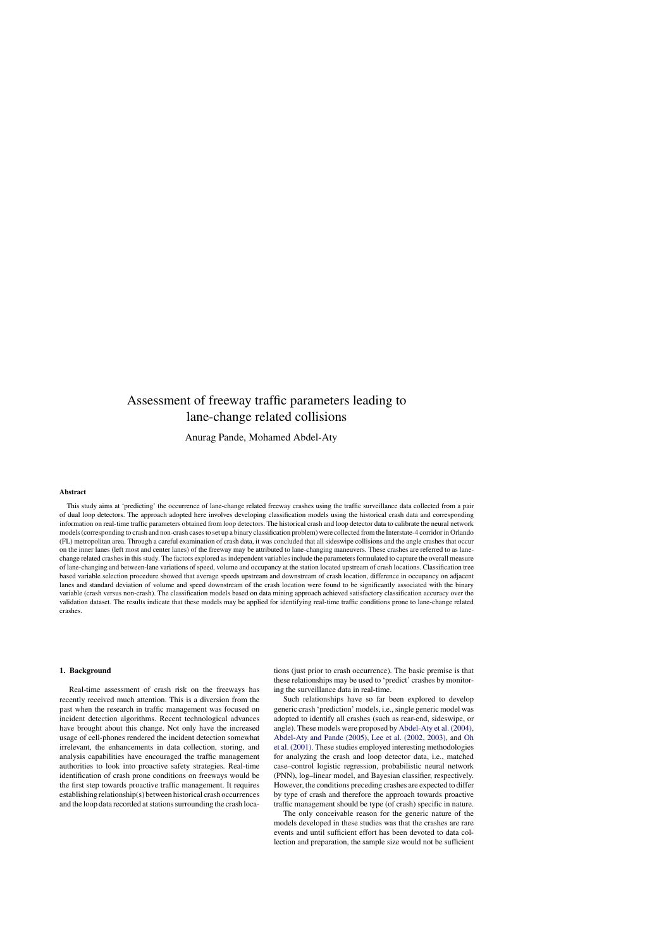# Assessment of freeway traffic parameters leading to lane-change related collisions

Anurag Pande, Mohamed Abdel-Aty

#### **Abstract**

This study aims at 'predicting' the occurrence of lane-change related freeway crashes using the traffic surveillance data collected from a pair of dual loop detectors. The approach adopted here involves developing classification models using the historical crash data and corresponding information on real-time traffic parameters obtained from loop detectors. The historical crash and loop detector data to calibrate the neural network models (corresponding to crash and non-crash cases to set up a binary classification problem) were collected from the Interstate-4 corridor in Orlando (FL) metropolitan area. Through a careful examination of crash data, it was concluded that all sideswipe collisions and the angle crashes that occur on the inner lanes (left most and center lanes) of the freeway may be attributed to lane-changing maneuvers. These crashes are referred to as lanechange related crashes in this study. The factors explored as independent variables include the parameters formulated to capture the overall measure of lane-changing and between-lane variations of speed, volume and occupancy at the station located upstream of crash locations. Classification tree based variable selection procedure showed that average speeds upstream and downstream of crash location, difference in occupancy on adjacent lanes and standard deviation of volume and speed downstream of the crash location were found to be significantly associated with the binary variable (crash versus non-crash). The classification models based on data mining approach achieved satisfactory classification accuracy over the validation dataset. The results indicate that these models may be applied for identifying real-time traffic conditions prone to lane-change related crashes.

Real-time assessment of crash risk on the freeways has ing the surveillance data in real-time. recently received much attention. This is a diversion from the Such relationships have so far been explored to develop past when the research in traffic management was focused on generic crash 'prediction' models, i.e., single generic model was incident detection algorithms. Recent technological advances adopted to identify all crashes (such as rear-end, sideswipe, or have brought about this change. Not only have the increased angle). These models were proposed by Abdel-Aty et al. (2004), usage of cell-phones rendered the incident detection somewhat [Abdel-Aty and Pande \(2005\), Lee et al. \(2002, 2003\),](#page-12-0) and [Oh](#page-12-0)  irrelevant, the enhancements in data collection, storing, and [et al. \(2001\). T](#page-12-0)hese studies employed interesting methodologies analysis capabilities have encouraged the traffic management for analyzing the crash and loop detector data, i.e., matched authorities to look into proactive safety strategies. Real-time identification of crash prone conditions on freeways would be the first step towards proactive traffic management. It requires establishing relationship(s) between historical crash occurrences and the loop data recorded at stations surrounding the crash loca-

**1. Background 1. Background tions** (just prior to crash occurrence). The basic premise is that these relationships may be used to 'predict' crashes by monitor-

> (PNN), log–linear model, and Bayesian classifier, respectively. However, the conditions preceding crashes are expected to differ by type of crash and therefore the approach towards proactive traffic management should be type (of crash) specific in nature. case–control logistic regression, probabilistic neural network

> The only conceivable reason for the generic nature of the models developed in these studies was that the crashes are rare events and until sufficient effort has been devoted to data collection and preparation, the sample size would not be sufficient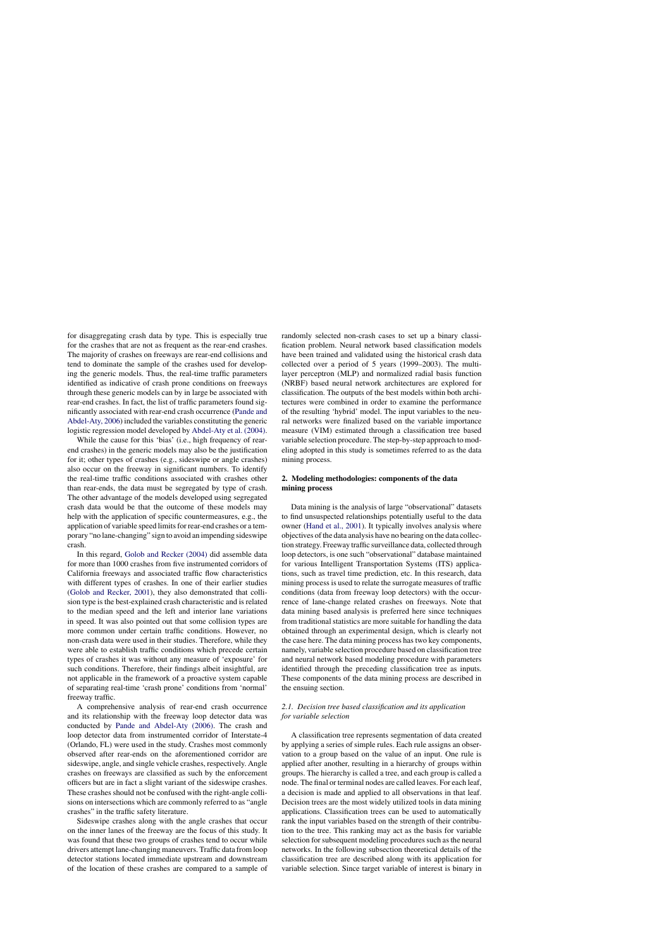for disaggregating crash data by type. This is especially true for the crashes that are not as frequent as the rear-end crashes. The majority of crashes on freeways are rear-end collisions and tend to dominate the sample of the crashes used for developing the generic models. Thus, the real-time traffic parameters identified as indicative of crash prone conditions on freeways through these generic models can by in large be associated with rear-end crashes. In fact, the list of traffic parameters found significantly associated with rear-end crash occurrence ([Pande and](#page-12-0)  [Abdel-Aty, 2006\) i](#page-12-0)ncluded the variables constituting the generic logistic regression model developed by [Abdel-Aty et al. \(2004\).](#page-12-0) 

While the cause for this 'bias' (i.e., high frequency of rearend crashes) in the generic models may also be the justification for it; other types of crashes (e.g., sideswipe or angle crashes) also occur on the freeway in significant numbers. To identify the real-time traffic conditions associated with crashes other than rear-ends, the data must be segregated by type of crash. The other advantage of the models developed using segregated crash data would be that the outcome of these models may help with the application of specific countermeasures, e.g., the application of variable speed limits for rear-end crashes or a temporary "no lane-changing" sign to avoid an impending sideswipe crash.

In this regard, [Golob and Recker \(2004\) d](#page-12-0)id assemble data for more than 1000 crashes from five instrumented corridors of California freeways and associated traffic flow characteristics with different types of crashes. In one of their earlier studies ([Golob and Recker, 2001\),](#page-12-0) they also demonstrated that collision type is the best-explained crash characteristic and is related to the median speed and the left and interior lane variations in speed. It was also pointed out that some collision types are more common under certain traffic conditions. However, no non-crash data were used in their studies. Therefore, while they were able to establish traffic conditions which precede certain types of crashes it was without any measure of 'exposure' for such conditions. Therefore, their findings albeit insightful, are not applicable in the framework of a proactive system capable of separating real-time 'crash prone' conditions from 'normal' freeway traffic.

A comprehensive analysis of rear-end crash occurrence and its relationship with the freeway loop detector data was conducted by [Pande and Abdel-Aty \(2006\).](#page-12-0) The crash and loop detector data from instrumented corridor of Interstate-4 (Orlando, FL) were used in the study. Crashes most commonly observed after rear-ends on the aforementioned corridor are sideswipe, angle, and single vehicle crashes, respectively. Angle crashes on freeways are classified as such by the enforcement officers but are in fact a slight variant of the sideswipe crashes. These crashes should not be confused with the right-angle collisions on intersections which are commonly referred to as "angle crashes" in the traffic safety literature.

Sideswipe crashes along with the angle crashes that occur on the inner lanes of the freeway are the focus of this study. It was found that these two groups of crashes tend to occur while drivers attempt lane-changing maneuvers. Traffic data from loop detector stations located immediate upstream and downstream of the location of these crashes are compared to a sample of randomly selected non-crash cases to set up a binary classification problem. Neural network based classification models have been trained and validated using the historical crash data collected over a period of 5 years (1999–2003). The multilayer perceptron (MLP) and normalized radial basis function (NRBF) based neural network architectures are explored for classification. The outputs of the best models within both architectures were combined in order to examine the performance of the resulting 'hybrid' model. The input variables to the neural networks were finalized based on the variable importance measure (VIM) estimated through a classification tree based variable selection procedure. The step-by-step approach to modeling adopted in this study is sometimes referred to as the data mining process.

# **2. Modeling methodologies: components of the data mining process**

Data mining is the analysis of large "observational" datasets to find unsuspected relationships potentially useful to the data owner [\(Hand et al., 2001\).](#page-12-0) It typically involves analysis where objectives of the data analysis have no bearing on the data collection strategy. Freeway traffic surveillance data, collected through loop detectors, is one such "observational" database maintained for various Intelligent Transportation Systems (ITS) applications, such as travel time prediction, etc. In this research, data mining process is used to relate the surrogate measures of traffic conditions (data from freeway loop detectors) with the occurrence of lane-change related crashes on freeways. Note that data mining based analysis is preferred here since techniques from traditional statistics are more suitable for handling the data obtained through an experimental design, which is clearly not the case here. The data mining process has two key components, namely, variable selection procedure based on classification tree and neural network based modeling procedure with parameters identified through the preceding classification tree as inputs. These components of the data mining process are described in the ensuing section.

# *2.1. Decision tree based classification and its application for variable selection*

A classification tree represents segmentation of data created by applying a series of simple rules. Each rule assigns an observation to a group based on the value of an input. One rule is applied after another, resulting in a hierarchy of groups within groups. The hierarchy is called a tree, and each group is called a node. The final or terminal nodes are called leaves. For each leaf, a decision is made and applied to all observations in that leaf. Decision trees are the most widely utilized tools in data mining applications. Classification trees can be used to automatically rank the input variables based on the strength of their contribution to the tree. This ranking may act as the basis for variable selection for subsequent modeling procedures such as the neural networks. In the following subsection theoretical details of the classification tree are described along with its application for variable selection. Since target variable of interest is binary in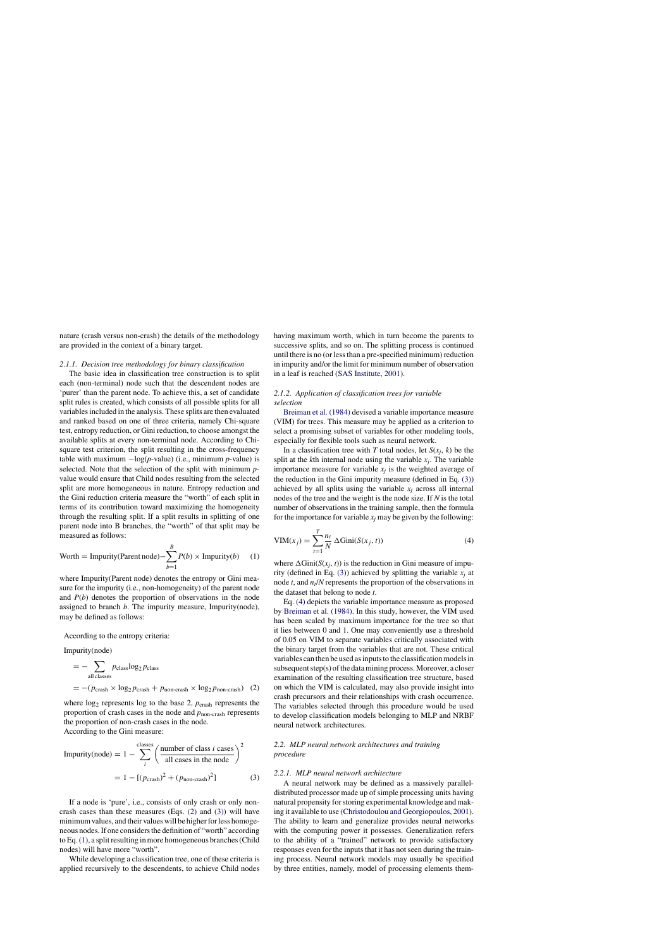nature (crash versus non-crash) the details of the methodology are provided in the context of a binary target.

#### *2.1.1. Decision tree methodology for binary classification*

The basic idea in classification tree construction is to split each (non-terminal) node such that the descendent nodes are 'purer' than the parent node. To achieve this, a set of candidate split rules is created, which consists of all possible splits for all variables included in the analysis. These splits are then evaluated and ranked based on one of three criteria, namely Chi-square test, entropy reduction, or Gini reduction, to choose amongst the available splits at every non-terminal node. According to Chisquare test criterion, the split resulting in the cross-frequency table with maximum  $-\log(p$ -value) (i.e., minimum *p*-value) is selected. Note that the selection of the split with minimum *p*value would ensure that Child nodes resulting from the selected split are more homogeneous in nature. Entropy reduction and the Gini reduction criteria measure the "worth" of each split in terms of its contribution toward maximizing the homogeneity through the resulting split. If a split results in splitting of one parent node into B branches, the "worth" of that split may be measured as follows:

$$
Worth = Impurity(Parent node) - \sum_{b=1}^{B} P(b) \times Impurity(b) \quad (1)
$$

where Impurity(Parent node) denotes the entropy or Gini measure for the impurity (i.e., non-homogeneity) of the parent node and *P*(*b*) denotes the proportion of observations in the node assigned to branch *b*. The impurity measure, Impurity(node), may be defined as follows:

According to the entropy criteria:

Impurity(node)

$$
= - \sum_{\text{all classes}} p_{\text{class}} \log_2 p_{\text{class}}
$$
  
= -(p\_{\text{crash}} \times \log\_2 p\_{\text{crash}} + p\_{\text{non-crash}} \times \log\_2 p\_{\text{non-crash}}) (2)

where  $log_2$  represents  $log$  to the base 2,  $p_{crash}$  represents the proportion of crash cases in the node and  $p_{\text{non-crash}}$  represents the proportion of non-crash cases in the node. According to the Gini measure:

 $\sum_{n=1}^{\text{classes}} \left( \frac{\text{number of class } i \text{ cases}}{\text{number of class } i} \right)^2$ Impurity(node) =  $1 - \sum_{i} \left( \frac{\text{number of class } i \text{ case}}{\text{all cases in the node}} \right)$  $= 1 - [(p_{\text{crash}})^2 + (p_{\text{non-crash}})$  $(3)$ 

If a node is 'pure', i.e., consists of only crash or only noncrash cases than these measures (Eqs. (2) and (3)) will have minimum values, and their values will be higher for less homogeneous nodes. If one considers the definition of "worth" according to Eq. (1), a split resulting in more homogeneous branches (Child nodes) will have more "worth".

While developing a classification tree, one of these criteria is applied recursively to the descendents, to achieve Child nodes

having maximum worth, which in turn become the parents to successive splits, and so on. The splitting process is continued until there is no (or less than a pre-specified minimum) reduction in impurity and/or the limit for minimum number of observation in a leaf is reached [\(SAS Institute, 2001\).](#page-12-0)

# *2.1.2. Application of classification trees for variable selection*

[Breiman et al. \(1984\) d](#page-12-0)evised a variable importance measure (VIM) for trees. This measure may be applied as a criterion to select a promising subset of variables for other modeling tools, especially for flexible tools such as neural network.

In a classification tree with *T* total nodes, let  $S(x_i, k)$  be the split at the  $k$ th internal node using the variable  $x_i$ . The variable importance measure for variable  $x_i$  is the weighted average of the reduction in the Gini impurity measure (defined in Eq. (3)) achieved by all splits using the variable  $x_i$  across all internal nodes of the tree and the weight is the node size. If *N* is the total number of observations in the training sample, then the formula for the importance for variable  $x_i$  may be given by the following:

$$
VIM(x_j) = \sum_{t=1}^{T} \frac{n_t}{N} \Delta Gini(S(x_j, t))
$$
\n(4)

where  $\Delta \text{Gini}(S(x_i, t))$  is the reduction in Gini measure of impurity (defined in Eq. (3)) achieved by splitting the variable  $x_i$  at node  $t$ , and  $n_t/N$  represents the proportion of the observations in the dataset that belong to node *t*.

Eq. (4) depicts the variable importance measure as proposed by [Breiman et al. \(1984\).](#page-12-0) In this study, however, the VIM used has been scaled by maximum importance for the tree so that it lies between 0 and 1. One may conveniently use a threshold of 0.05 on VIM to separate variables critically associated with the binary target from the variables that are not. These critical variables can then be used as inputs to the classification models in subsequent step(s) of the data mining process. Moreover, a closer examination of the resulting classification tree structure, based on which the VIM is calculated, may also provide insight into crash precursors and their relationships with crash occurrence. The variables selected through this procedure would be used to develop classification models belonging to MLP and NRBF neural network architectures.

# *2.2. MLP neural network architectures and training procedure*

#### *2.2.1. MLP neural network architecture*

A neural network may be defined as a massively paralleldistributed processor made up of simple processing units having natural propensity for storing experimental knowledge and making it available to use ([Christodoulou and Georgiopoulos, 2001\).](#page-12-0) The ability to learn and generalize provides neural networks with the computing power it possesses. Generalization refers to the ability of a "trained" network to provide satisfactory responses even for the inputs that it has not seen during the training process. Neural network models may usually be specified by three entities, namely, model of processing elements them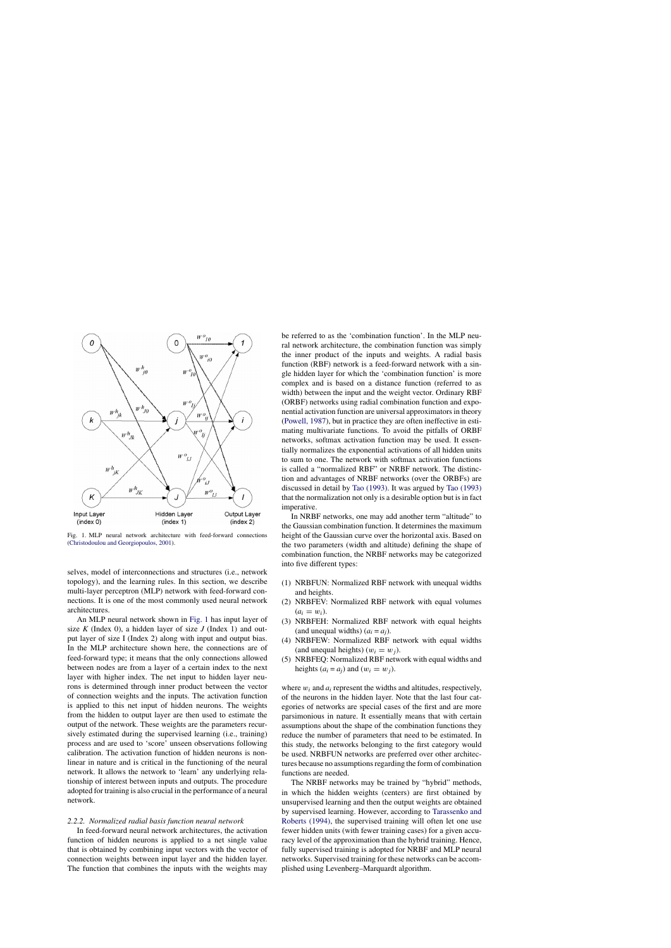

Fig. 1. MLP neural network architecture with feed-forward connections [\(Christodoulou and Georgiopoulos, 2001\).](#page-12-0) 

selves, model of interconnections and structures (i.e., network topology), and the learning rules. In this section, we describe multi-layer perceptron (MLP) network with feed-forward connections. It is one of the most commonly used neural network architectures.

An MLP neural network shown in Fig. 1 has input layer of size *K* (Index 0), a hidden layer of size *J* (Index 1) and output layer of size I (Index 2) along with input and output bias. In the MLP architecture shown here, the connections are of feed-forward type; it means that the only connections allowed between nodes are from a layer of a certain index to the next layer with higher index. The net input to hidden layer neurons is determined through inner product between the vector of connection weights and the inputs. The activation function is applied to this net input of hidden neurons. The weights from the hidden to output layer are then used to estimate the output of the network. These weights are the parameters recursively estimated during the supervised learning (i.e., training) process and are used to 'score' unseen observations following calibration. The activation function of hidden neurons is nonlinear in nature and is critical in the functioning of the neural network. It allows the network to 'learn' any underlying relationship of interest between inputs and outputs. The procedure adopted for training is also crucial in the performance of a neural network.

# *2.2.2. Normalized radial basis function neural network*

In feed-forward neural network architectures, the activation function of hidden neurons is applied to a net single value that is obtained by combining input vectors with the vector of connection weights between input layer and the hidden layer. The function that combines the inputs with the weights may

be referred to as the 'combination function'. In the MLP neural network architecture, the combination function was simply the inner product of the inputs and weights. A radial basis function (RBF) network is a feed-forward network with a single hidden layer for which the 'combination function' is more complex and is based on a distance function (referred to as width) between the input and the weight vector. Ordinary RBF (ORBF) networks using radial combination function and exponential activation function are universal approximators in theory ([Powell, 1987\),](#page-12-0) but in practice they are often ineffective in estimating multivariate functions. To avoid the pitfalls of ORBF networks, softmax activation function may be used. It essentially normalizes the exponential activations of all hidden units to sum to one. The network with softmax activation functions is called a "normalized RBF" or NRBF network. The distinction and advantages of NRBF networks (over the ORBFs) are discussed in detail by [Tao \(1993\).](#page-12-0) It was argued by [Tao \(1993\)](#page-12-0)  that the normalization not only is a desirable option but is in fact imperative.

In NRBF networks, one may add another term "altitude" to the Gaussian combination function. It determines the maximum height of the Gaussian curve over the horizontal axis. Based on the two parameters (width and altitude) defining the shape of combination function, the NRBF networks may be categorized into five different types:

- (1) NRBFUN: Normalized RBF network with unequal widths and heights.
- (2) NRBFEV: Normalized RBF network with equal volumes  $(a_i = w_i).$
- (3) NRBFEH: Normalized RBF network with equal heights (and unequal widths)  $(a_i = a_i)$ .
- (4) NRBFEW: Normalized RBF network with equal widths (and unequal heights)  $(w_i = w_j)$ .
- (5) NRBFEQ: Normalized RBF network with equal widths and heights  $(a_i = a_j)$  and  $(w_i = w_j)$ .

where  $w_i$  and  $a_i$  represent the widths and altitudes, respectively, of the neurons in the hidden layer. Note that the last four categories of networks are special cases of the first and are more parsimonious in nature. It essentially means that with certain assumptions about the shape of the combination functions they reduce the number of parameters that need to be estimated. In this study, the networks belonging to the first category would be used. NRBFUN networks are preferred over other architectures because no assumptions regarding the form of combination functions are needed.

The NRBF networks may be trained by "hybrid" methods, in which the hidden weights (centers) are first obtained by unsupervised learning and then the output weights are obtained by supervised learning. However, according to [Tarassenko and](#page-12-0)  [Roberts \(1994\),](#page-12-0) the supervised training will often let one use fewer hidden units (with fewer training cases) for a given accuracy level of the approximation than the hybrid training. Hence, fully supervised training is adopted for NRBF and MLP neural networks. Supervised training for these networks can be accomplished using Levenberg–Marquardt algorithm.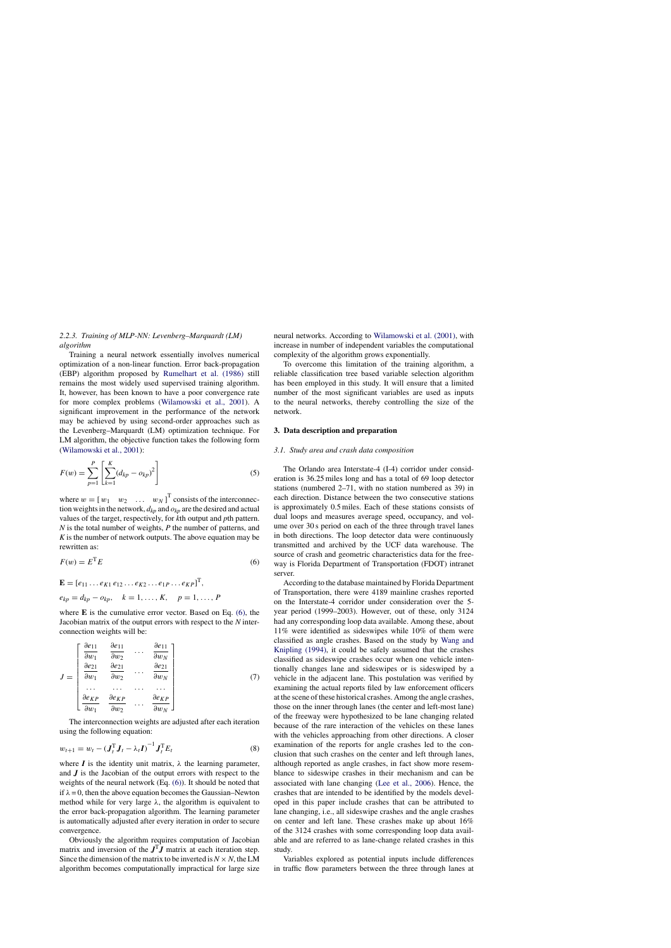# *2.2.3. Training of MLP-NN: Levenberg–Marquardt (LM) algorithm*

Training a neural network essentially involves numerical optimization of a non-linear function. Error back-propagation (EBP) algorithm proposed by [Rumelhart et al. \(1986\) s](#page-12-0)till remains the most widely used supervised training algorithm. It, however, has been known to have a poor convergence rate for more complex problems [\(Wilamowski et al., 2001\).](#page-12-0) A significant improvement in the performance of the network may be achieved by using second-order approaches such as the Levenberg–Marquardt (LM) optimization technique. For LM algorithm, the objective function takes the following form [\(Wilamowski et al., 2001\):](#page-12-0)

$$
F(w) = \sum_{p=1}^{P} \left[ \sum_{k=1}^{K} (d_{kp} - o_{kp})^2 \right]
$$
 (5)

where  $w = [w_1 \quad w_2 \quad \dots \quad w_N]^\text{T}$  consists of the interconnection weights in the network,  $d_{kn}$  and  $o_{kn}$  are the desired and actual values of the target, respectively, for *k*th output and *p*th pattern. *N* is the total number of weights, *P* the number of patterns, and *K* is the number of network outputs. The above equation may be rewritten as:

$$
F(w) = ET E
$$
 (6)

$$
\mathbf{E} = [e_{11} \dots e_{K1} e_{12} \dots e_{K2} \dots e_{1P} \dots e_{KP}]^{T},
$$
  
\n
$$
e_{kp} = d_{kp} - o_{kp}, \quad k = 1, \dots, K, \quad p = 1, \dots, P
$$

where **E** is the cumulative error vector. Based on Eq. (6), the Jacobian matrix of the output errors with respect to the *N* interconnection weights will be:

$$
J = \begin{bmatrix} \frac{\partial e_{11}}{\partial w_1} & \frac{\partial e_{11}}{\partial w_2} & \cdots & \frac{\partial e_{11}}{\partial w_N} \\ \frac{\partial e_{21}}{\partial w_1} & \frac{\partial e_{21}}{\partial w_2} & \cdots & \frac{\partial e_{21}}{\partial w_N} \\ \vdots & \vdots & \ddots & \vdots \\ \frac{\partial e_{KP}}{\partial w_1} & \frac{\partial e_{KP}}{\partial w_2} & \cdots & \frac{\partial e_{KP}}{\partial w_N} \end{bmatrix}
$$
(7)

The interconnection weights are adjusted after each iteration using the following equation:

$$
w_{t+1} = w_t - \left(\boldsymbol{J}_t^{\mathrm{T}} \boldsymbol{J}_t - \lambda_t \boldsymbol{I}\right)^{-1} \boldsymbol{J}_t^{\mathrm{T}} E_t
$$
\n(8)

where  $I$  is the identity unit matrix,  $\lambda$  the learning parameter, and *J* is the Jacobian of the output errors with respect to the weights of the neural network (Eq. (6)). It should be noted that if  $\lambda = 0$ , then the above equation becomes the Gaussian–Newton method while for very large  $\lambda$ , the algorithm is equivalent to the error back-propagation algorithm. The learning parameter is automatically adjusted after every iteration in order to secure convergence.

Obviously the algorithm requires computation of Jacobian matrix and inversion of the  $J<sup>T</sup>J$  matrix at each iteration step. Since the dimension of the matrix to be inverted is  $N \times N$ , the LM algorithm becomes computationally impractical for large size

neural networks. According to [Wilamowski et al. \(2001\),](#page-12-0) with increase in number of independent variables the computational complexity of the algorithm grows exponentially.

To overcome this limitation of the training algorithm, a reliable classification tree based variable selection algorithm has been employed in this study. It will ensure that a limited number of the most significant variables are used as inputs to the neural networks, thereby controlling the size of the network.

# **3. Data description and preparation**

#### *3.1. Study area and crash data composition*

The Orlando area Interstate-4 (I-4) corridor under consideration is 36.25 miles long and has a total of 69 loop detector stations (numbered 2–71, with no station numbered as 39) in each direction. Distance between the two consecutive stations is approximately 0.5 miles. Each of these stations consists of dual loops and measures average speed, occupancy, and volume over 30 s period on each of the three through travel lanes in both directions. The loop detector data were continuously transmitted and archived by the UCF data warehouse. The source of crash and geometric characteristics data for the freeway is Florida Department of Transportation (FDOT) intranet server.

According to the database maintained by Florida Department of Transportation, there were 4189 mainline crashes reported on the Interstate-4 corridor under consideration over the 5 year period (1999–2003). However, out of these, only 3124 had any corresponding loop data available. Among these, about 11% were identified as sideswipes while 10% of them were classified as angle crashes. Based on the study by [Wang and](#page-12-0)  [Knipling \(1994\),](#page-12-0) it could be safely assumed that the crashes classified as sideswipe crashes occur when one vehicle intentionally changes lane and sideswipes or is sideswiped by a vehicle in the adjacent lane. This postulation was verified by examining the actual reports filed by law enforcement officers at the scene of these historical crashes. Among the angle crashes, those on the inner through lanes (the center and left-most lane) of the freeway were hypothesized to be lane changing related because of the rare interaction of the vehicles on these lanes with the vehicles approaching from other directions. A closer examination of the reports for angle crashes led to the conclusion that such crashes on the center and left through lanes, although reported as angle crashes, in fact show more resemblance to sideswipe crashes in their mechanism and can be associated with lane changing ([Lee et al., 2006\).](#page-12-0) Hence, the crashes that are intended to be identified by the models developed in this paper include crashes that can be attributed to lane changing, i.e., all sideswipe crashes and the angle crashes on center and left lane. These crashes make up about 16% of the 3124 crashes with some corresponding loop data available and are referred to as lane-change related crashes in this study.

Variables explored as potential inputs include differences in traffic flow parameters between the three through lanes at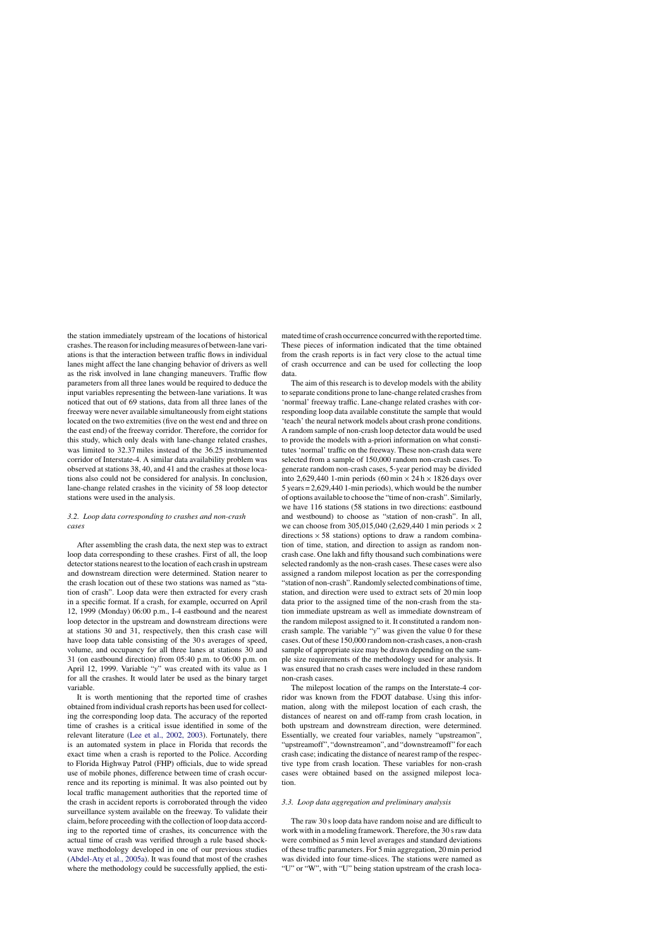the station immediately upstream of the locations of historical crashes. The reason for including measures of between-lane variations is that the interaction between traffic flows in individual lanes might affect the lane changing behavior of drivers as well as the risk involved in lane changing maneuvers. Traffic flow parameters from all three lanes would be required to deduce the input variables representing the between-lane variations. It was noticed that out of 69 stations, data from all three lanes of the freeway were never available simultaneously from eight stations located on the two extremities (five on the west end and three on the east end) of the freeway corridor. Therefore, the corridor for this study, which only deals with lane-change related crashes, was limited to 32.37 miles instead of the 36.25 instrumented corridor of Interstate-4. A similar data availability problem was observed at stations 38, 40, and 41 and the crashes at those locations also could not be considered for analysis. In conclusion, lane-change related crashes in the vicinity of 58 loop detector stations were used in the analysis.

# *3.2. Loop data corresponding to crashes and non-crash cases*

After assembling the crash data, the next step was to extract loop data corresponding to these crashes. First of all, the loop detector stations nearest to the location of each crash in upstream and downstream direction were determined. Station nearer to the crash location out of these two stations was named as "station of crash". Loop data were then extracted for every crash in a specific format. If a crash, for example, occurred on April 12, 1999 (Monday) 06:00 p.m., I-4 eastbound and the nearest loop detector in the upstream and downstream directions were at stations 30 and 31, respectively, then this crash case will have loop data table consisting of the 30s averages of speed, volume, and occupancy for all three lanes at stations 30 and 31 (on eastbound direction) from 05:40 p.m. to 06:00 p.m. on April 12, 1999. Variable "*y*" was created with its value as 1 for all the crashes. It would later be used as the binary target variable.

It is worth mentioning that the reported time of crashes obtained from individual crash reports has been used for collecting the corresponding loop data. The accuracy of the reported time of crashes is a critical issue identified in some of the relevant literature [\(Lee et al., 2002, 2003\).](#page-12-0) Fortunately, there is an automated system in place in Florida that records the exact time when a crash is reported to the Police. According to Florida Highway Patrol (FHP) officials, due to wide spread use of mobile phones, difference between time of crash occurrence and its reporting is minimal. It was also pointed out by local traffic management authorities that the reported time of the crash in accident reports is corroborated through the video surveillance system available on the freeway. To validate their claim, before proceeding with the collection of loop data according to the reported time of crashes, its concurrence with the actual time of crash was verified through a rule based shockwave methodology developed in one of our previous studies ([Abdel-Aty et al., 2005a\).](#page-12-0) It was found that most of the crashes where the methodology could be successfully applied, the estimated time of crash occurrence concurred with the reported time. These pieces of information indicated that the time obtained from the crash reports is in fact very close to the actual time of crash occurrence and can be used for collecting the loop data.

The aim of this research is to develop models with the ability to separate conditions prone to lane-change related crashes from 'normal' freeway traffic. Lane-change related crashes with corresponding loop data available constitute the sample that would 'teach' the neural network models about crash prone conditions. A random sample of non-crash loop detector data would be used to provide the models with a-priori information on what constitutes 'normal' traffic on the freeway. These non-crash data were selected from a sample of 150,000 random non-crash cases. To generate random non-crash cases, 5-year period may be divided into 2,629,440 1-min periods (60 min  $\times$  24 h  $\times$  1826 days over 5 years = 2,629,440 1-min periods), which would be the number of options available to choose the "time of non-crash". Similarly, we have 116 stations (58 stations in two directions: eastbound and westbound) to choose as "station of non-crash". In all, we can choose from 305,015,040 (2,629,440 1 min periods  $\times$  2 directions  $\times$  58 stations) options to draw a random combination of time, station, and direction to assign as random noncrash case. One lakh and fifty thousand such combinations were selected randomly as the non-crash cases. These cases were also assigned a random milepost location as per the corresponding "station of non-crash". Randomly selected combinations of time, station, and direction were used to extract sets of 20 min loop data prior to the assigned time of the non-crash from the station immediate upstream as well as immediate downstream of the random milepost assigned to it. It constituted a random noncrash sample. The variable "*y*" was given the value 0 for these cases. Out of these 150,000 random non-crash cases, a non-crash sample of appropriate size may be drawn depending on the sample size requirements of the methodology used for analysis. It was ensured that no crash cases were included in these random non-crash cases.

The milepost location of the ramps on the Interstate-4 corridor was known from the FDOT database. Using this information, along with the milepost location of each crash, the distances of nearest on and off-ramp from crash location, in both upstream and downstream direction, were determined. Essentially, we created four variables, namely "upstreamon", "upstreamoff", "downstreamon", and "downstreamoff" for each crash case; indicating the distance of nearest ramp of the respective type from crash location. These variables for non-crash cases were obtained based on the assigned milepost location.

#### *3.3. Loop data aggregation and preliminary analysis*

The raw 30 s loop data have random noise and are difficult to work with in a modeling framework. Therefore, the 30 s raw data were combined as 5 min level averages and standard deviations of these traffic parameters. For 5 min aggregation, 20 min period was divided into four time-slices. The stations were named as "U" or "W", with "U" being station upstream of the crash loca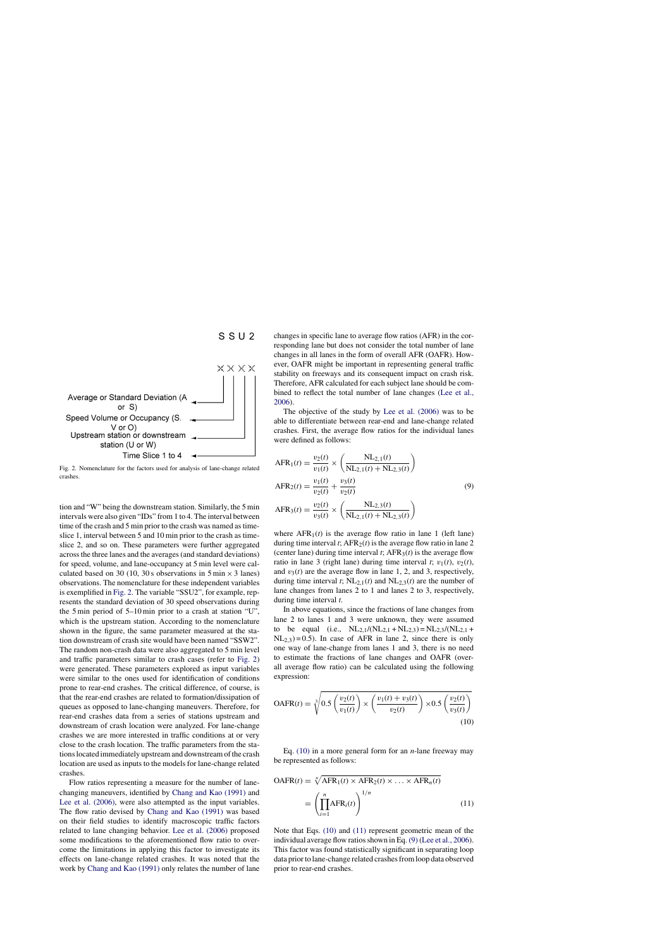

<span id="page-6-0"></span>

Fig. 2. Nomenclature for the factors used for analysis of lane-change related crashes.

tion and "W" being the downstream station. Similarly, the 5 min intervals were also given "IDs" from 1 to 4. The interval between time of the crash and 5 min prior to the crash was named as timeslice 1, interval between 5 and 10 min prior to the crash as timeslice 2, and so on. These parameters were further aggregated across the three lanes and the averages (and standard deviations) for speed, volume, and lane-occupancy at 5 min level were calculated based on 30 (10, 30 s observations in  $5 \text{ min} \times 3 \text{ lanes}$ ) observations. The nomenclature for these independent variables is exemplified in Fig. 2. The variable "SSU2", for example, represents the standard deviation of 30 speed observations during the 5 min period of 5–10 min prior to a crash at station "U", which is the upstream station. According to the nomenclature shown in the figure, the same parameter measured at the station downstream of crash site would have been named "SSW2". The random non-crash data were also aggregated to 5 min level and traffic parameters similar to crash cases (refer to Fig. 2) were generated. These parameters explored as input variables were similar to the ones used for identification of conditions prone to rear-end crashes. The critical difference, of course, is that the rear-end crashes are related to formation/dissipation of queues as opposed to lane-changing maneuvers. Therefore, for rear-end crashes data from a series of stations upstream and downstream of crash location were analyzed. For lane-change crashes we are more interested in traffic conditions at or very close to the crash location. The traffic parameters from the stations located immediately upstream and downstream of the crash location are used as inputs to the models for lane-change related crashes.

Flow ratios representing a measure for the number of lanechanging maneuvers, identified by [Chang and Kao \(1991\) a](#page-12-0)nd Lee et al.  $(2006)$ , were also attempted as the input variables. The flow ratio devised by [Chang and Kao \(1991\) w](#page-12-0)as based on their field studies to identify macroscopic traffic factors related to lane changing behavior. [Lee et al. \(2006\) p](#page-12-0)roposed some modifications to the aforementioned flow ratio to overcome the limitations in applying this factor to investigate its effects on lane-change related crashes. It was noted that the work by [Chang and Kao \(1991\) o](#page-12-0)nly relates the number of lane

changes in specific lane to average flow ratios (AFR) in the corresponding lane but does not consider the total number of lane changes in all lanes in the form of overall AFR (OAFR). However, OAFR might be important in representing general traffic stability on freeways and its consequent impact on crash risk. Therefore, AFR calculated for each subject lane should be combined to reflect the total number of lane changes [\(Lee et al.,](#page-12-0)  [2006\).](#page-12-0)

The objective of the study by [Lee et al. \(2006\) w](#page-12-0)as to be able to differentiate between rear-end and lane-change related crashes. First, the average flow ratios for the individual lanes were defined as follows:

$$
AFR_1(t) = \frac{v_2(t)}{v_1(t)} \times \left(\frac{NL_{2,1}(t)}{NL_{2,1}(t) + NL_{2,3}(t)}\right)
$$
  
\n
$$
AFR_2(t) = \frac{v_1(t)}{v_2(t)} + \frac{v_3(t)}{v_2(t)}
$$
  
\n
$$
AFR_3(t) = \frac{v_2(t)}{v_3(t)} \times \left(\frac{NL_{2,3}(t)}{NL_{2,1}(t) + NL_{2,3}(t)}\right)
$$
\n(9)

where  $AFR<sub>1</sub>(t)$  is the average flow ratio in lane 1 (left lane) during time interval *t*;  $AFR<sub>2</sub>(*t*)$  is the average flow ratio in lane 2 (center lane) during time interval  $t$ ;  $AFR<sub>3</sub>(t)$  is the average flow ratio in lane 3 (right lane) during time interval *t*;  $v_1(t)$ ,  $v_2(t)$ , and  $v_3(t)$  are the average flow in lane 1, 2, and 3, respectively, during time interval *t*;  $NL_{2,1}(t)$  and  $NL_{2,3}(t)$  are the number of lane changes from lanes 2 to 1 and lanes 2 to 3, respectively, during time interval *t*.

In above equations, since the fractions of lane changes from lane 2 to lanes 1 and 3 were unknown, they were assumed to be equal (i.e.,  $NL_{2,1}/(NL_{2,1} + NL_{2,3}) = NL_{2,3}/(NL_{2,1} + L_{2,3})$  $NL_{2,3}$ ) = 0.5). In case of AFR in lane 2, since there is only one way of lane-change from lanes 1 and 3, there is no need to estimate the fractions of lane changes and OAFR (overall average flow ratio) can be calculated using the following expression:

OAFR(t) = 
$$
\sqrt[3]{0.5 \left( \frac{v_2(t)}{v_1(t)} \right) \times \left( \frac{v_1(t) + v_3(t)}{v_2(t)} \right) \times 0.5 \left( \frac{v_2(t)}{v_3(t)} \right)}
$$
 (10)

Eq. (10) in a more general form for an *n*-lane freeway may be represented as follows:

$$
OAFR(t) = \sqrt[n]{AFR_1(t) \times AFR_2(t) \times \dots \times AFR_n(t)}
$$

$$
= \left(\prod_{i=1}^n AFR_i(t)\right)^{1/n}
$$
(11)

Note that Eqs. (10) and (11) represent geometric mean of the individual average flow ratios shown in Eq. (9) ([Lee et al., 2006\).](#page-12-0) This factor was found statistically significant in separating loop data prior to lane-change related crashes from loop data observed prior to rear-end crashes.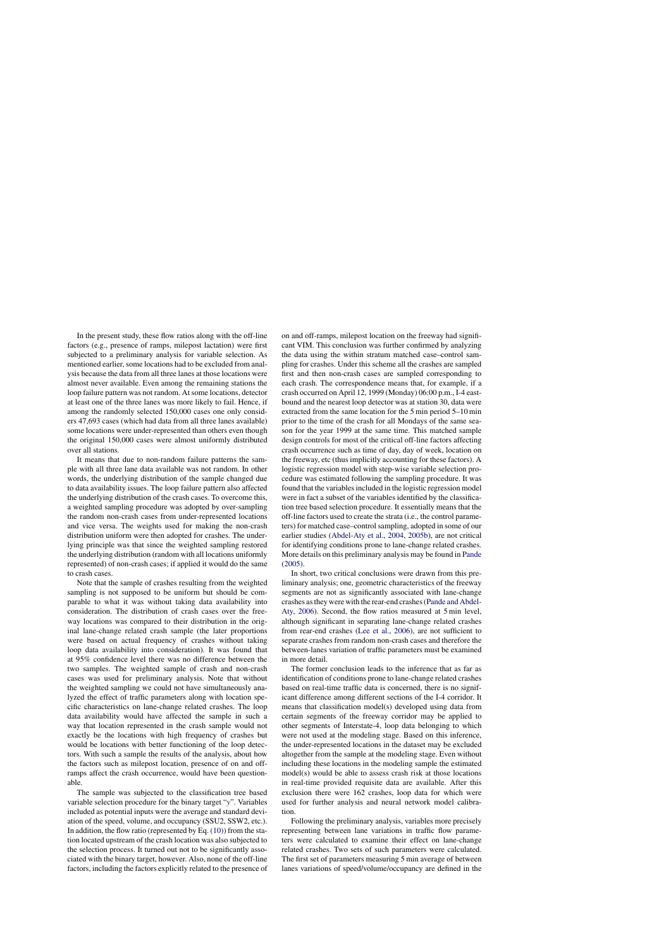In the present study, these flow ratios along with the off-line factors (e.g., presence of ramps, milepost lactation) were first subjected to a preliminary analysis for variable selection. As mentioned earlier, some locations had to be excluded from analysis because the data from all three lanes at those locations were almost never available. Even among the remaining stations the loop failure pattern was not random. At some locations, detector at least one of the three lanes was more likely to fail. Hence, if among the randomly selected 150,000 cases one only considers 47,693 cases (which had data from all three lanes available) some locations were under-represented than others even though the original 150,000 cases were almost uniformly distributed over all stations.

It means that due to non-random failure patterns the sample with all three lane data available was not random. In other words, the underlying distribution of the sample changed due to data availability issues. The loop failure pattern also affected the underlying distribution of the crash cases. To overcome this, a weighted sampling procedure was adopted by over-sampling the random non-crash cases from under-represented locations and vice versa. The weights used for making the non-crash distribution uniform were then adopted for crashes. The underlying principle was that since the weighted sampling restored the underlying distribution (random with all locations uniformly represented) of non-crash cases; if applied it would do the same to crash cases.

Note that the sample of crashes resulting from the weighted sampling is not supposed to be uniform but should be comparable to what it was without taking data availability into consideration. The distribution of crash cases over the freeway locations was compared to their distribution in the original lane-change related crash sample (the later proportions were based on actual frequency of crashes without taking loop data availability into consideration). It was found that at 95% confidence level there was no difference between the two samples. The weighted sample of crash and non-crash cases was used for preliminary analysis. Note that without the weighted sampling we could not have simultaneously analyzed the effect of traffic parameters along with location specific characteristics on lane-change related crashes. The loop data availability would have affected the sample in such a way that location represented in the crash sample would not exactly be the locations with high frequency of crashes but would be locations with better functioning of the loop detectors. With such a sample the results of the analysis, about how the factors such as milepost location, presence of on and offramps affect the crash occurrence, would have been questionable.

The sample was subjected to the classification tree based variable selection procedure for the binary target "*y*". Variables included as potential inputs were the average and standard deviation of the speed, volume, and occupancy (SSU2, SSW2, etc.). In addition, the flow ratio (represented by Eq.  $(10)$ ) from the station located upstream of the crash location was also subjected to the selection process. It turned out not to be significantly associated with the binary target, however. Also, none of the off-line factors, including the factors explicitly related to the presence of on and off-ramps, milepost location on the freeway had significant VIM. This conclusion was further confirmed by analyzing the data using the within stratum matched case–control sampling for crashes. Under this scheme all the crashes are sampled first and then non-crash cases are sampled corresponding to each crash. The correspondence means that, for example, if a crash occurred on April 12, 1999 (Monday) 06:00 p.m., I-4 eastbound and the nearest loop detector was at station 30, data were extracted from the same location for the 5 min period 5–10 min prior to the time of the crash for all Mondays of the same season for the year 1999 at the same time. This matched sample design controls for most of the critical off-line factors affecting crash occurrence such as time of day, day of week, location on the freeway, etc (thus implicitly accounting for these factors). A logistic regression model with step-wise variable selection procedure was estimated following the sampling procedure. It was found that the variables included in the logistic regression model were in fact a subset of the variables identified by the classification tree based selection procedure. It essentially means that the off-line factors used to create the strata (i.e., the control parameters) for matched case–control sampling, adopted in some of our earlier studies [\(Abdel-Aty et al., 2004, 2005b\),](#page-12-0) are not critical for identifying conditions prone to lane-change related crashes. More details on this preliminary analysis may be found in [Pande](#page-12-0)  [\(2005\).](#page-12-0) 

In short, two critical conclusions were drawn from this preliminary analysis; one, geometric characteristics of the freeway segments are not as significantly associated with lane-change crashes as they were with the rear-end crashes [\(Pande and Abdel-](#page-12-0)Aty, [2006\).](#page-12-0) Second, the flow ratios measured at 5 min level, although significant in separating lane-change related crashes from rear-end crashes ([Lee et al., 2006\),](#page-12-0) are not sufficient to separate crashes from random non-crash cases and therefore the between-lanes variation of traffic parameters must be examined in more detail.

The former conclusion leads to the inference that as far as identification of conditions prone to lane-change related crashes based on real-time traffic data is concerned, there is no significant difference among different sections of the I-4 corridor. It means that classification model(s) developed using data from certain segments of the freeway corridor may be applied to other segments of Interstate-4, loop data belonging to which were not used at the modeling stage. Based on this inference, the under-represented locations in the dataset may be excluded altogether from the sample at the modeling stage. Even without including these locations in the modeling sample the estimated model(s) would be able to assess crash risk at those locations in real-time provided requisite data are available. After this exclusion there were 162 crashes, loop data for which were used for further analysis and neural network model calibration.

Following the preliminary analysis, variables more precisely representing between lane variations in traffic flow parameters were calculated to examine their effect on lane-change related crashes. Two sets of such parameters were calculated. The first set of parameters measuring 5 min average of between lanes variations of speed/volume/occupancy are defined in the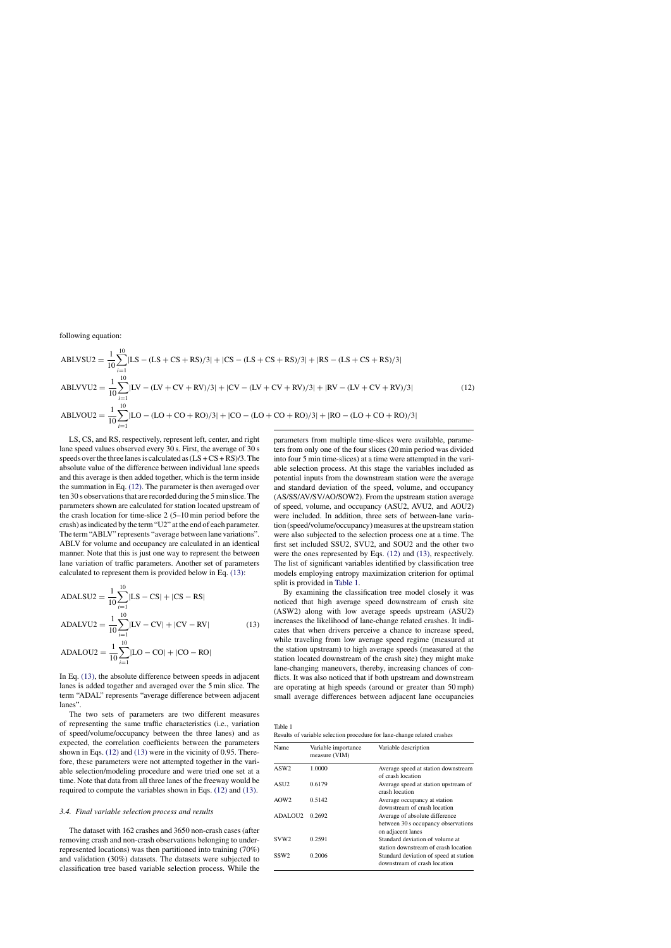<span id="page-8-0"></span>following equation:

$$
ABLVSU2 = \frac{1}{10} \sum_{i=1}^{10} |LS - (LS + CS + RS)/3| + |CS - (LS + CS + RS)/3| + |RS - (LS + CS + RS)/3|
$$
  
\n
$$
ABLVVU2 = \frac{1}{10} \sum_{i=1}^{10} |LV - (LV + CV + RV)/3| + |CV - (LV + CV + RV)/3| + |RV - (LV + CV + RV)/3|
$$
  
\n
$$
ABLVOU2 = \frac{1}{10} \sum_{i=1}^{10} |LO - (LO + CO + RO)/3| + |CO - (LO + CO + RO)/3| + |RO - (LO + CO + RO)/3|
$$
 (12)

LS, CS, and RS, respectively, represent left, center, and right lane speed values observed every 30 s. First, the average of 30 s speeds over the three lanes is calculated as  $(LS + CS + RS)/3$ . The absolute value of the difference between individual lane speeds and this average is then added together, which is the term inside the summation in Eq. (12). The parameter is then averaged over ten 30 s observations that are recorded during the 5 min slice. The parameters shown are calculated for station located upstream of the crash location for time-slice 2 (5–10 min period before the crash) as indicated by the term "U2" at the end of each parameter. The term "ABLV" represents "average between lane variations". ABLV for volume and occupancy are calculated in an identical manner. Note that this is just one way to represent the between lane variation of traffic parameters. Another set of parameters calculated to represent them is provided below in Eq. (13):

ADALSU2 = 
$$
\frac{1}{10} \sum_{i=1}^{10} |LS - CS| + |CS - RS|
$$
  
ADALVU2 =  $\frac{1}{10} \sum_{i=1}^{10} |LV - CV| + |CV - RV|$  (13)  
ADALOU2 =  $\frac{1}{10} \sum_{i=1}^{10} |LO - CO| + |CO - RO|$ 

In Eq. (13), the absolute difference between speeds in adjacent lanes is added together and averaged over the 5 min slice. The term "ADAL" represents "average difference between adjacent lanes".

The two sets of parameters are two different measures of representing the same traffic characteristics (i.e., variation of speed/volume/occupancy between the three lanes) and as expected, the correlation coefficients between the parameters shown in Eqs.  $(12)$  and  $(13)$  were in the vicinity of 0.95. Therefore, these parameters were not attempted together in the variable selection/modeling procedure and were tried one set at a time. Note that data from all three lanes of the freeway would be required to compute the variables shown in Eqs. (12) and (13).

#### *3.4.* Final variable selection process and results

The dataset with 162 crashes and 3650 non-crash cases (after removing crash and non-crash observations belonging to underrepresented locations) was then partitioned into training (70%) and validation (30%) datasets. The datasets were subjected to classification tree based variable selection process. While the

parameters from multiple time-slices were available, parameters from only one of the four slices (20 min period was divided into four 5 min time-slices) at a time were attempted in the variable selection process. At this stage the variables included as potential inputs from the downstream station were the average and standard deviation of the speed, volume, and occupancy (AS/SS/AV/SV/AO/SOW2). From the upstream station average of speed, volume, and occupancy (ASU2, AVU2, and AOU2) were included. In addition, three sets of between-lane variation (speed/volume/occupancy) measures at the upstream station were also subjected to the selection process one at a time. The first set included SSU2, SVU2, and SOU2 and the other two were the ones represented by Eqs. (12) and (13), respectively. The list of significant variables identified by classification tree models employing entropy maximization criterion for optimal split is provided in Table 1.

By examining the classification tree model closely it was noticed that high average speed downstream of crash site (ASW2) along with low average speeds upstream (ASU2) increases the likelihood of lane-change related crashes. It indicates that when drivers perceive a chance to increase speed, while traveling from low average speed regime (measured at the station upstream) to high average speeds (measured at the station located downstream of the crash site) they might make lane-changing maneuvers, thereby, increasing chances of conflicts. It was also noticed that if both upstream and downstream are operating at high speeds (around or greater than 50 mph) small average differences between adjacent lane occupancies

| Table 1                                                                 |  |  |
|-------------------------------------------------------------------------|--|--|
| Results of variable selection procedure for lane-change related crashes |  |  |

| Name             | Variable importance<br>measure (VIM) | Variable description                                                                       |
|------------------|--------------------------------------|--------------------------------------------------------------------------------------------|
| ASW <sub>2</sub> | 1.0000                               | Average speed at station downstream<br>of crash location                                   |
| ASU <sub>2</sub> | 0.6179                               | Average speed at station upstream of<br>crash location                                     |
| AOW2             | 0.5142                               | Average occupancy at station<br>downstream of crash location                               |
| ADALOU2          | 0.2692                               | Average of absolute difference<br>between 30 s occupancy observations<br>on adjacent lanes |
| SVW <sub>2</sub> | 0.2591                               | Standard deviation of volume at<br>station downstream of crash location                    |
| SSW2             | 0.2006                               | Standard deviation of speed at station<br>downstream of crash location                     |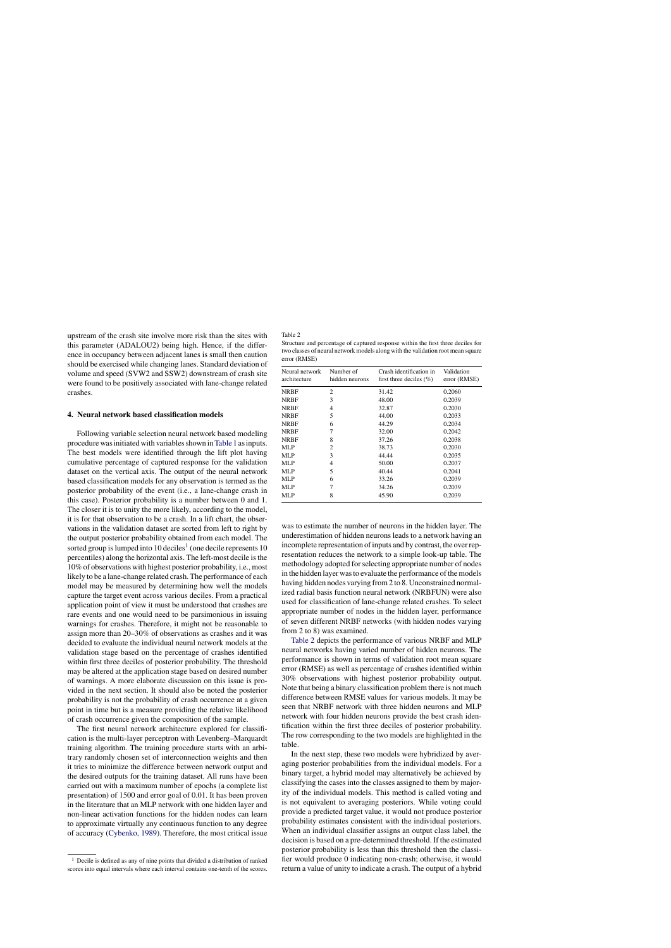<span id="page-9-0"></span>upstream of the crash site involve more risk than the sites with this parameter (ADALOU2) being high. Hence, if the difference in occupancy between adjacent lanes is small then caution should be exercised while changing lanes. Standard deviation of volume and speed (SVW2 and SSW2) downstream of crash site were found to be positively associated with lane-change related crashes.

#### **4. Neural network based classification models**

Following variable selection neural network based modeling procedure was initiated with variables shown in [Table 1 as](#page-8-0) inputs. The best models were identified through the lift plot having cumulative percentage of captured response for the validation dataset on the vertical axis. The output of the neural network based classification models for any observation is termed as the posterior probability of the event (i.e., a lane-change crash in this case). Posterior probability is a number between 0 and 1. The closer it is to unity the more likely, according to the model, it is for that observation to be a crash. In a lift chart, the observations in the validation dataset are sorted from left to right by the output posterior probability obtained from each model. The sorted group is lumped into 10 deciles<sup>1</sup> (one decile represents 10 percentiles) along the horizontal axis. The left-most decile is the 10% of observations with highest posterior probability, i.e., most likely to be a lane-change related crash. The performance of each model may be measured by determining how well the models capture the target event across various deciles. From a practical application point of view it must be understood that crashes are rare events and one would need to be parsimonious in issuing warnings for crashes. Therefore, it might not be reasonable to assign more than 20–30% of observations as crashes and it was decided to evaluate the individual neural network models at the validation stage based on the percentage of crashes identified within first three deciles of posterior probability. The threshold may be altered at the application stage based on desired number of warnings. A more elaborate discussion on this issue is provided in the next section. It should also be noted the posterior probability is not the probability of crash occurrence at a given point in time but is a measure providing the relative likelihood of crash occurrence given the composition of the sample.

The first neural network architecture explored for classification is the multi-layer perceptron with Levenberg–Marquardt training algorithm. The training procedure starts with an arbitrary randomly chosen set of interconnection weights and then it tries to minimize the difference between network output and the desired outputs for the training dataset. All runs have been carried out with a maximum number of epochs (a complete list presentation) of 1500 and error goal of 0.01. It has been proven in the literature that an MLP network with one hidden layer and non-linear activation functions for the hidden nodes can learn to approximate virtually any continuous function to any degree of accuracy [\(Cybenko, 1989\).](#page-12-0) Therefore, the most critical issue

| ×<br>×<br>۰.<br>۹ |  |
|-------------------|--|
|                   |  |

Structure and percentage of captured response within the first three deciles for two classes of neural network models along with the validation root mean square error (RMSE)

| Neural network<br>architecture | Number of<br>hidden neurons | Crash identification in<br>first three deciles $(\% )$ | Validation<br>error (RMSE) |
|--------------------------------|-----------------------------|--------------------------------------------------------|----------------------------|
| <b>NRBF</b>                    | $\overline{c}$              | 31.42                                                  | 0.2060                     |
| <b>NRBF</b>                    | 3                           | 48.00                                                  | 0.2039                     |
| <b>NRBF</b>                    | 4                           | 32.87                                                  | 0.2030                     |
| <b>NRBF</b>                    | 5                           | 44.00                                                  | 0.2033                     |
| <b>NRBF</b>                    | 6                           | 44.29                                                  | 0.2034                     |
| <b>NRBF</b>                    |                             | 32.00                                                  | 0.2042                     |
| <b>NRBF</b>                    | 8                           | 37.26                                                  | 0.2038                     |
| MLP                            | 2                           | 38.73                                                  | 0.2030                     |
| MLP                            | 3                           | 44.44                                                  | 0.2035                     |
| MLP                            | 4                           | 50.00                                                  | 0.2037                     |
| MLP                            | 5                           | 40.44                                                  | 0.2041                     |
| MLP                            | 6                           | 33.26                                                  | 0.2039                     |
| MLP                            | 7                           | 34.26                                                  | 0.2039                     |
| MLP                            | 8                           | 45.90                                                  | 0.2039                     |

was to estimate the number of neurons in the hidden layer. The underestimation of hidden neurons leads to a network having an incomplete representation of inputs and by contrast, the over representation reduces the network to a simple look-up table. The methodology adopted for selecting appropriate number of nodes in the hidden layer was to evaluate the performance of the models having hidden nodes varying from 2 to 8. Unconstrained normalized radial basis function neural network (NRBFUN) were also used for classification of lane-change related crashes. To select appropriate number of nodes in the hidden layer, performance of seven different NRBF networks (with hidden nodes varying from 2 to 8) was examined.

Table 2 depicts the performance of various NRBF and MLP neural networks having varied number of hidden neurons. The performance is shown in terms of validation root mean square error (RMSE) as well as percentage of crashes identified within 30% observations with highest posterior probability output. Note that being a binary classification problem there is not much difference between RMSE values for various models. It may be seen that NRBF network with three hidden neurons and MLP network with four hidden neurons provide the best crash identification within the first three deciles of posterior probability. The row corresponding to the two models are highlighted in the table.

In the next step, these two models were hybridized by averaging posterior probabilities from the individual models. For a binary target, a hybrid model may alternatively be achieved by classifying the cases into the classes assigned to them by majority of the individual models. This method is called voting and is not equivalent to averaging posteriors. While voting could provide a predicted target value, it would not produce posterior probability estimates consistent with the individual posteriors. When an individual classifier assigns an output class label, the decision is based on a pre-determined threshold. If the estimated posterior probability is less than this threshold then the classifier would produce 0 indicating non-crash; otherwise, it would return a value of unity to indicate a crash. The output of a hybrid

<sup>&</sup>lt;sup>1</sup> Decile is defined as any of nine points that divided a distribution of ranked scores into equal intervals where each interval contains one-tenth of the scores.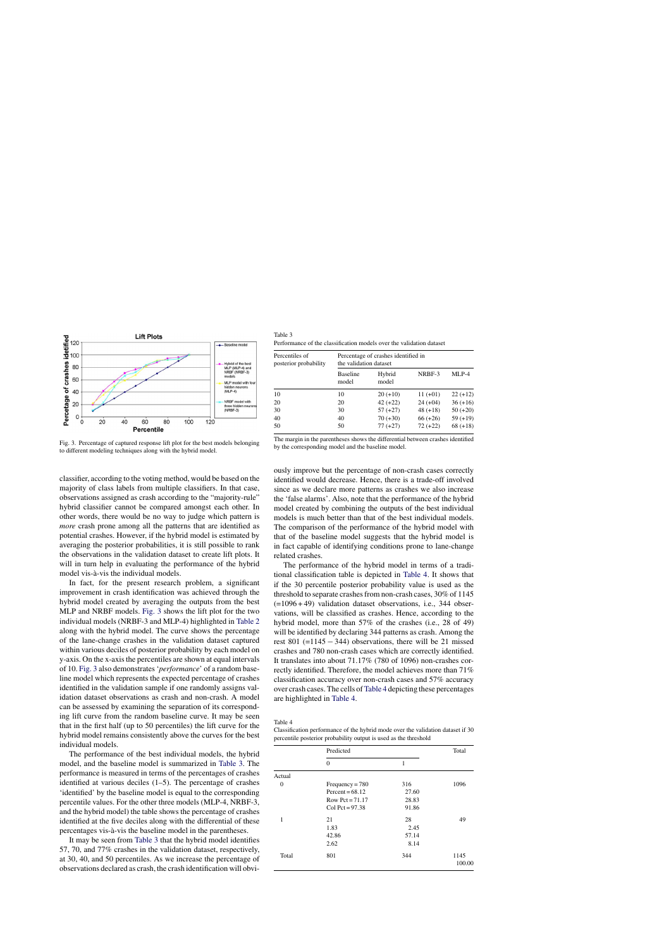<span id="page-10-0"></span>

Fig. 3. Percentage of captured response lift plot for the best models belonging to different modeling techniques along with the hybrid model.

classifier, according to the voting method, would be based on the majority of class labels from multiple classifiers. In that case, observations assigned as crash according to the "majority-rule" hybrid classifier cannot be compared amongst each other. In other words, there would be no way to judge which pattern is *more* crash prone among all the patterns that are identified as potential crashes. However, if the hybrid model is estimated by averaging the posterior probabilities, it is still possible to rank the observations in the validation dataset to create lift plots. It will in turn help in evaluating the performance of the hybrid model vis-à-vis the individual models.

In fact, for the present research problem, a significant improvement in crash identification was achieved through the hybrid model created by averaging the outputs from the best MLP and NRBF models. Fig. 3 shows the lift plot for the two individual models (NRBF-3 and MLP-4) highlighted in [Table 2](#page-9-0)  along with the hybrid model. The curve shows the percentage of the lane-change crashes in the validation dataset captured within various deciles of posterior probability by each model on y-axis. On the x-axis the percentiles are shown at equal intervals of 10. Fig. 3 also demonstrates '*performance*' of a random baseline model which represents the expected percentage of crashes identified in the validation sample if one randomly assigns validation dataset observations as crash and non-crash. A model can be assessed by examining the separation of its corresponding lift curve from the random baseline curve. It may be seen that in the first half (up to 50 percentiles) the lift curve for the hybrid model remains consistently above the curves for the best individual models.

The performance of the best individual models, the hybrid model, and the baseline model is summarized in Table 3. The performance is measured in terms of the percentages of crashes identified at various deciles (1–5). The percentage of crashes 'identified' by the baseline model is equal to the corresponding percentile values. For the other three models (MLP-4, NRBF-3, and the hybrid model) the table shows the percentage of crashes identified at the five deciles along with the differential of these percentages vis-à-vis the baseline model in the parentheses.

It may be seen from Table 3 that the hybrid model identifies 57, 70, and 77% crashes in the validation dataset, respectively, at 30, 40, and 50 percentiles. As we increase the percentage of observations declared as crash, the crash identification will obvi-

Table 3 Performance of the classification models over the validation dataset

| Percentiles of<br>posterior probability | the validation dataset | Percentage of crashes identified in |            |            |
|-----------------------------------------|------------------------|-------------------------------------|------------|------------|
|                                         | Baseline<br>model      | Hybrid<br>model                     | NRBF-3     | $MI.P-4$   |
| 10                                      | 10                     | $20 (+10)$                          | $11 (+01)$ | $22 (+12)$ |
| 20                                      | 20                     | $42 (+22)$                          | $24 (+04)$ | $36 (+16)$ |
| 30                                      | 30                     | $57 (+27)$                          | $48 (+18)$ | $50 (+20)$ |
| 40                                      | 40                     | $70 (+30)$                          | $66 (+26)$ | $59(+19)$  |
| 50                                      | 50                     | $77(+27)$                           | $72 (+22)$ | $68 (+18)$ |

The margin in the parentheses shows the differential between crashes identified by the corresponding model and the baseline model.

ously improve but the percentage of non-crash cases correctly identified would decrease. Hence, there is a trade-off involved since as we declare more patterns as crashes we also increase the 'false alarms'. Also, note that the performance of the hybrid model created by combining the outputs of the best individual models is much better than that of the best individual models. The comparison of the performance of the hybrid model with that of the baseline model suggests that the hybrid model is in fact capable of identifying conditions prone to lane-change related crashes.

The performance of the hybrid model in terms of a traditional classification table is depicted in Table 4. It shows that if the 30 percentile posterior probability value is used as the threshold to separate crashes from non-crash cases, 30% of 1145 (=1096 + 49) validation dataset observations, i.e., 344 observations, will be classified as crashes. Hence, according to the hybrid model, more than 57% of the crashes (i.e., 28 of 49) will be identified by declaring 344 patterns as crash. Among the rest 801 (=1145 – 344) observations, there will be 21 missed crashes and 780 non-crash cases which are correctly identified. It translates into about 71.17% (780 of 1096) non-crashes correctly identified. Therefore, the model achieves more than 71% classification accuracy over non-crash cases and 57% accuracy over crash cases. The cells of Table 4 depicting these percentages are highlighted in Table 4.

Table 4

Classification performance of the hybrid mode over the validation dataset if 30 percentile posterior probability output is used as the threshold

|                  | Predicted         |       | Total  |
|------------------|-------------------|-------|--------|
|                  | $\theta$          | 1     |        |
| Actual           |                   |       |        |
| $\boldsymbol{0}$ | $Frequency = 780$ | 316   | 1096   |
|                  | Percent = $68.12$ | 27.60 |        |
|                  | Row Pct = $71.17$ | 28.83 |        |
|                  | Col Pct = $97.38$ | 91.86 |        |
| 1                | 21                | 28    | 49     |
|                  | 1.83              | 2.45  |        |
|                  | 42.86             | 57.14 |        |
|                  | 2.62              | 8.14  |        |
| Total            | 801               | 344   | 1145   |
|                  |                   |       | 100.00 |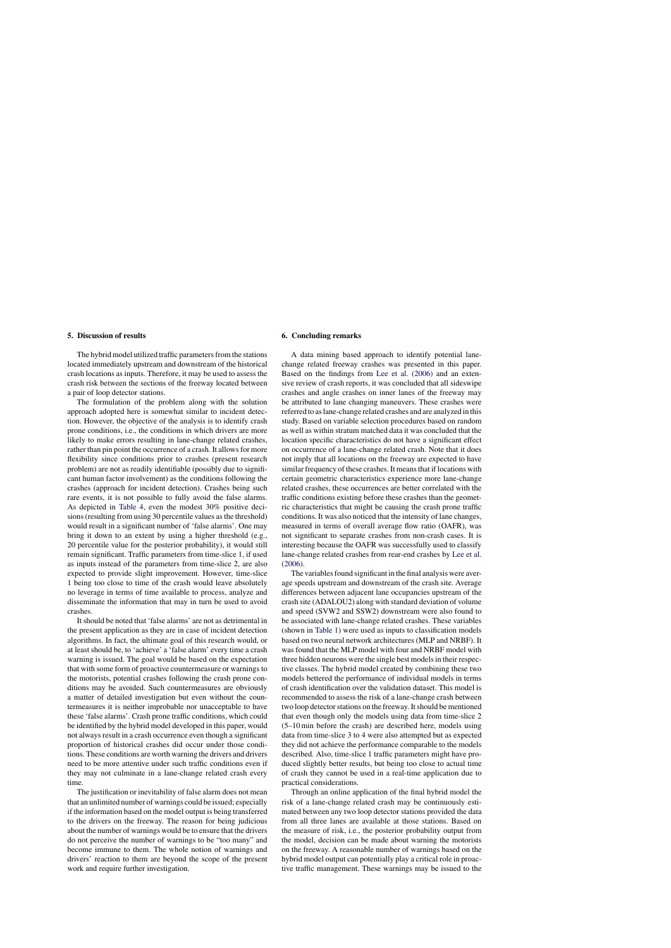# **5. Discussion of results**

The hybrid model utilized traffic parameters from the stations located immediately upstream and downstream of the historical crash locations as inputs. Therefore, it may be used to assess the crash risk between the sections of the freeway located between a pair of loop detector stations.

The formulation of the problem along with the solution approach adopted here is somewhat similar to incident detection. However, the objective of the analysis is to identify crash prone conditions, i.e., the conditions in which drivers are more likely to make errors resulting in lane-change related crashes, rather than pin point the occurrence of a crash. It allows for more flexibility since conditions prior to crashes (present research problem) are not as readily identifiable (possibly due to significant human factor involvement) as the conditions following the crashes (approach for incident detection). Crashes being such rare events, it is not possible to fully avoid the false alarms. As depicted in [Table 4,](#page-10-0) even the modest 30% positive decisions (resulting from using 30 percentile values as the threshold) would result in a significant number of 'false alarms'. One may bring it down to an extent by using a higher threshold (e.g., 20 percentile value for the posterior probability), it would still remain significant. Traffic parameters from time-slice 1, if used as inputs instead of the parameters from time-slice 2, are also expected to provide slight improvement. However, time-slice 1 being too close to time of the crash would leave absolutely no leverage in terms of time available to process, analyze and disseminate the information that may in turn be used to avoid crashes.

It should be noted that 'false alarms' are not as detrimental in the present application as they are in case of incident detection algorithms. In fact, the ultimate goal of this research would, or at least should be, to 'achieve' a 'false alarm' every time a crash warning is issued. The goal would be based on the expectation that with some form of proactive countermeasure or warnings to the motorists, potential crashes following the crash prone conditions may be avoided. Such countermeasures are obviously a matter of detailed investigation but even without the countermeasures it is neither improbable nor unacceptable to have these 'false alarms'. Crash prone traffic conditions, which could be identified by the hybrid model developed in this paper, would not always result in a crash occurrence even though a significant proportion of historical crashes did occur under those conditions. These conditions are worth warning the drivers and drivers need to be more attentive under such traffic conditions even if they may not culminate in a lane-change related crash every time.

The justification or inevitability of false alarm does not mean that an unlimited number of warnings could be issued; especially if the information based on the model output is being transferred to the drivers on the freeway. The reason for being judicious about the number of warnings would be to ensure that the drivers do not perceive the number of warnings to be "too many" and become immune to them. The whole notion of warnings and drivers' reaction to them are beyond the scope of the present work and require further investigation.

### **6. Concluding remarks**

A data mining based approach to identify potential lanechange related freeway crashes was presented in this paper. Based on the findings from [Lee et al. \(2006\) a](#page-12-0)nd an extensive review of crash reports, it was concluded that all sideswipe crashes and angle crashes on inner lanes of the freeway may be attributed to lane changing maneuvers. These crashes were referred to as lane-change related crashes and are analyzed in this study. Based on variable selection procedures based on random as well as within stratum matched data it was concluded that the location specific characteristics do not have a significant effect on occurrence of a lane-change related crash. Note that it does not imply that all locations on the freeway are expected to have similar frequency of these crashes. It means that if locations with certain geometric characteristics experience more lane-change related crashes, these occurrences are better correlated with the traffic conditions existing before these crashes than the geometric characteristics that might be causing the crash prone traffic conditions. It was also noticed that the intensity of lane changes, measured in terms of overall average flow ratio (OAFR), was not significant to separate crashes from non-crash cases. It is interesting because the OAFR was successfully used to classify lane-change related crashes from rear-end crashes by [Lee et al.](#page-12-0)  [\(2006\).](#page-12-0) 

The variables found significant in the final analysis were average speeds upstream and downstream of the crash site. Average differences between adjacent lane occupancies upstream of the crash site (ADALOU2) along with standard deviation of volume and speed (SVW2 and SSW2) downstream were also found to be associated with lane-change related crashes. These variables (shown in [Table 1\)](#page-8-0) were used as inputs to classification models based on two neural network architectures (MLP and NRBF). It was found that the MLP model with four and NRBF model with three hidden neurons were the single best models in their respective classes. The hybrid model created by combining these two models bettered the performance of individual models in terms of crash identification over the validation dataset. This model is recommended to assess the risk of a lane-change crash between two loop detector stations on the freeway. It should be mentioned that even though only the models using data from time-slice 2 (5–10 min before the crash) are described here, models using data from time-slice 3 to 4 were also attempted but as expected they did not achieve the performance comparable to the models described. Also, time-slice 1 traffic parameters might have produced slightly better results, but being too close to actual time of crash they cannot be used in a real-time application due to practical considerations.

Through an online application of the final hybrid model the risk of a lane-change related crash may be continuously estimated between any two loop detector stations provided the data from all three lanes are available at those stations. Based on the measure of risk, i.e., the posterior probability output from the model, decision can be made about warning the motorists on the freeway. A reasonable number of warnings based on the hybrid model output can potentially play a critical role in proactive traffic management. These warnings may be issued to the